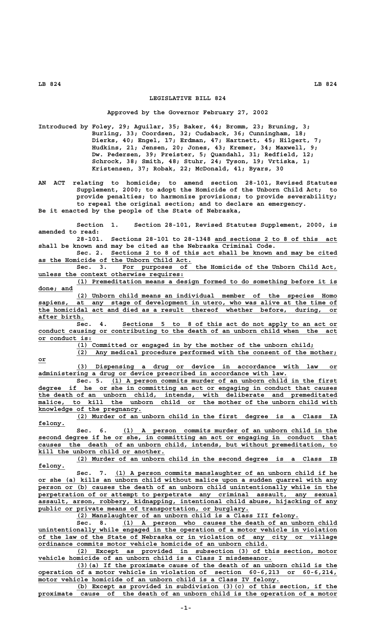**or\_\_**

## **LEGISLATIVE BILL 824**

## **Approved by the Governor February 27, 2002**

**Introduced by Foley, 29; Aguilar, 35; Baker, 44; Bromm, 23; Bruning, 3; Burling, 33; Coordsen, 32; Cudaback, 36; Cunningham, 18; Dierks, 40; Engel, 17; Erdman, 47; Hartnett, 45; Hilgert, 7; Hudkins, 21; Jensen, 20; Jones, 43; Kremer, 34; Maxwell, 9; Dw. Pedersen, 39; Preister, 5; Quandahl, 31; Redfield, 12; Schrock, 38; Smith, 48; Stuhr, 24; Tyson, 19; Vrtiska, 1; Kristensen, 37; Robak, 22; McDonald, 41; Byars, 30**

**AN ACT relating to homicide; to amend section 28-101, Revised Statutes Supplement, 2000; to adopt the Homicide of the Unborn Child Act; to provide penalties; to harmonize provisions; to provide severability; to repeal the original section; and to declare an emergency. Be it enacted by the people of the State of Nebraska,**

**Section 1. Section 28-101, Revised Statutes Supplement, 2000, is amended to read:**

Sections 28-101 to 28-1348 and sections 2 to 8 of this act **shall be known and may be cited as the Nebraska Criminal Code.**

 **\_\_\_\_\_\_\_\_\_\_\_\_\_\_\_\_\_\_\_\_\_\_\_\_\_\_\_\_\_\_\_\_\_\_\_\_\_\_\_\_\_\_\_\_\_\_\_\_\_\_\_\_\_\_\_\_\_\_\_ Sec. 2. Sections 2 to 8 of this act shall be known and may be cited \_\_\_\_\_\_\_\_\_\_\_\_\_\_\_\_\_\_\_\_\_\_\_\_\_\_\_\_\_\_\_\_\_\_\_\_\_\_\_\_ as the Homicide of the Unborn Child Act.**

 **\_\_\_\_\_\_\_\_\_\_\_\_\_\_\_\_\_\_\_\_\_\_\_\_\_\_\_\_\_\_\_\_\_\_\_\_\_\_\_\_\_\_\_\_\_\_\_\_\_\_\_\_\_\_\_\_ Sec. 3. For purposes of the Homicide of the Unborn Child Act, \_\_\_\_\_\_\_\_\_\_\_\_\_\_\_\_\_\_\_\_\_\_\_\_\_\_\_\_\_\_\_\_\_\_\_\_\_\_ unless the context otherwise requires:**

 **\_\_\_\_\_\_\_\_\_\_\_\_\_\_\_\_\_\_\_\_\_\_\_\_\_\_\_\_\_\_\_\_\_\_\_\_\_\_\_\_\_\_\_\_\_\_\_\_\_\_\_\_\_\_\_\_\_\_\_\_\_\_\_\_\_\_\_\_ (1) Premeditation means a design formed to do something before it is done; and \_\_\_\_\_\_\_\_\_**

 **\_\_\_\_\_\_\_\_\_\_\_\_\_\_\_\_\_\_\_\_\_\_\_\_\_\_\_\_\_\_\_\_\_\_\_\_\_\_\_\_\_\_\_\_\_\_\_\_\_\_\_\_\_\_\_\_\_\_\_\_\_\_\_\_\_\_\_\_ (2) Unborn child means an individual member of the species Homo**  $s$ apiens, at any stage of development in utero, who was alive at the time of  **\_\_\_\_\_\_\_\_\_\_\_\_\_\_\_\_\_\_\_\_\_\_\_\_\_\_\_\_\_\_\_\_\_\_\_\_\_\_\_\_\_\_\_\_\_\_\_\_\_\_\_\_\_\_\_\_\_\_\_\_\_\_\_\_\_\_\_\_\_\_\_\_\_\_\_\_\_\_ the homicidal act and died as a result thereof whether before, during, or after birth. \_\_\_\_\_\_\_\_\_\_\_\_**

 **\_\_\_\_\_\_\_\_\_\_\_\_\_\_\_\_\_\_\_\_\_\_\_\_\_\_\_\_\_\_\_\_\_\_\_\_\_\_\_\_\_\_\_\_\_\_\_\_\_\_\_\_\_\_\_\_ Sec. 4. Sections 5 to 8 of this act do not apply to an act or** conduct causing or contributing to the death of an unborn child when the act  **\_\_\_\_\_\_\_\_\_\_\_\_\_\_ or conduct is:**

 $\overline{(1)}$  Committed or engaged in by the mother of the unborn child;

 **\_\_\_\_\_\_\_\_\_\_\_\_\_\_\_\_\_\_\_\_\_\_\_\_\_\_\_\_\_\_\_\_\_\_\_\_\_\_\_\_\_\_\_\_\_\_\_\_\_\_\_\_\_\_\_\_\_\_\_\_\_\_\_\_\_\_\_\_ (2) Any medical procedure performed with the consent of the mother;**

 **\_\_\_\_\_\_\_\_\_\_\_\_\_\_\_\_\_\_\_\_\_\_\_\_\_\_\_\_\_\_\_\_\_\_\_\_\_\_\_\_\_\_\_\_\_\_\_\_\_\_\_\_\_\_\_\_\_\_\_\_\_\_\_\_\_\_\_\_ (3) Dispensing a drug or device in accordance with law or \_\_\_\_\_\_\_\_\_\_\_\_\_\_\_\_\_\_\_\_\_\_\_\_\_\_\_\_\_\_\_\_\_\_\_\_\_\_\_\_\_\_\_\_\_\_\_\_\_\_\_\_\_\_\_\_\_\_\_\_\_\_\_\_\_ administering a drug or device prescribed in accordance with law.**

 **\_\_\_\_\_\_\_\_\_\_\_\_\_\_\_\_\_\_\_\_\_\_\_\_\_\_\_\_\_\_\_\_\_\_\_\_\_\_\_\_\_\_\_\_\_\_\_\_\_\_\_\_\_\_\_\_\_\_\_ Sec. 5. (1) A person commits murder of an unborn child in the first \_\_\_\_\_\_\_\_\_\_\_\_\_\_\_\_\_\_\_\_\_\_\_\_\_\_\_\_\_\_\_\_\_\_\_\_\_\_\_\_\_\_\_\_\_\_\_\_\_\_\_\_\_\_\_\_\_\_\_\_\_\_\_\_\_\_\_\_\_\_\_\_\_\_\_\_\_\_ degree if he or she in committing an act or engaging in conduct that causes \_\_\_\_\_\_\_\_\_\_\_\_\_\_\_\_\_\_\_\_\_\_\_\_\_\_\_\_\_\_\_\_\_\_\_\_\_\_\_\_\_\_\_\_\_\_\_\_\_\_\_\_\_\_\_\_\_\_\_\_\_\_\_\_\_\_\_\_\_\_\_\_\_\_\_\_\_\_ the death of an unborn child, intends, with deliberate and premeditated \_\_\_\_\_\_\_\_\_\_\_\_\_\_\_\_\_\_\_\_\_\_\_\_\_\_\_\_\_\_\_\_\_\_\_\_\_\_\_\_\_\_\_\_\_\_\_\_\_\_\_\_\_\_\_\_\_\_\_\_\_\_\_\_\_\_\_\_\_\_\_\_\_\_\_\_\_\_ malice, to kill the unborn child or the mother of the unborn child with \_\_\_\_\_\_\_\_\_\_\_\_\_\_\_\_\_\_\_\_\_\_\_\_\_\_\_ knowledge of the pregnancy.**

 **\_\_\_\_\_\_\_\_\_\_\_\_\_\_\_\_\_\_\_\_\_\_\_\_\_\_\_\_\_\_\_\_\_\_\_\_\_\_\_\_\_\_\_\_\_\_\_\_\_\_\_\_\_\_\_\_\_\_\_\_\_\_\_\_\_\_\_\_ (2) Murder of an unborn child in the first degree is a Class IA felony. \_\_\_\_\_\_\_**

 **\_\_\_\_\_\_\_\_\_\_\_\_\_\_\_\_\_\_\_\_\_\_\_\_\_\_\_\_\_\_\_\_\_\_\_\_\_\_\_\_\_\_\_\_\_\_\_\_\_\_\_\_\_\_\_\_ Sec. 6. (1) A person commits murder of an unborn child in the \_\_\_\_\_\_\_\_\_\_\_\_\_\_\_\_\_\_\_\_\_\_\_\_\_\_\_\_\_\_\_\_\_\_\_\_\_\_\_\_\_\_\_\_\_\_\_\_\_\_\_\_\_\_\_\_\_\_\_\_\_\_\_\_\_\_\_\_\_\_\_\_\_\_\_\_\_\_ second degree if he or she, in committing an act or engaging in conduct that \_\_\_\_\_\_\_\_\_\_\_\_\_\_\_\_\_\_\_\_\_\_\_\_\_\_\_\_\_\_\_\_\_\_\_\_\_\_\_\_\_\_\_\_\_\_\_\_\_\_\_\_\_\_\_\_\_\_\_\_\_\_\_\_\_\_\_\_\_\_\_\_\_\_\_\_\_\_ causes the death of an unborn child, intends, but without premeditation, to \_\_\_\_\_\_\_\_\_\_\_\_\_\_\_\_\_\_\_\_\_\_\_\_\_\_\_\_\_\_\_\_\_ kill the unborn child or another.**

 **\_\_\_\_\_\_\_\_\_\_\_\_\_\_\_\_\_\_\_\_\_\_\_\_\_\_\_\_\_\_\_\_\_\_\_\_\_\_\_\_\_\_\_\_\_\_\_\_\_\_\_\_\_\_\_\_\_\_\_\_\_\_\_\_\_\_\_\_ (2) Murder of an unborn child in the second degree is a Class IB felony. \_\_\_\_\_\_\_**

 **\_\_\_\_\_\_\_\_\_\_\_\_\_\_\_\_\_\_\_\_\_\_\_\_\_\_\_\_\_\_\_\_\_\_\_\_\_\_\_\_\_\_\_\_\_\_\_\_\_\_\_\_\_\_\_\_\_\_ Sec. 7. (1) A person commits manslaughter of an unborn child if he \_\_\_\_\_\_\_\_\_\_\_\_\_\_\_\_\_\_\_\_\_\_\_\_\_\_\_\_\_\_\_\_\_\_\_\_\_\_\_\_\_\_\_\_\_\_\_\_\_\_\_\_\_\_\_\_\_\_\_\_\_\_\_\_\_\_\_\_\_\_\_\_\_\_\_\_\_\_ or she (a) kills an unborn child without malice upon a sudden quarrel with any** person or (b) causes the death of an unborn child unintentionally while in the  **\_\_\_\_\_\_\_\_\_\_\_\_\_\_\_\_\_\_\_\_\_\_\_\_\_\_\_\_\_\_\_\_\_\_\_\_\_\_\_\_\_\_\_\_\_\_\_\_\_\_\_\_\_\_\_\_\_\_\_\_\_\_\_\_\_\_\_\_\_\_\_\_\_\_\_\_\_\_ perpetration of or attempt to perpetrate any criminal assault, any sexual \_\_\_\_\_\_\_\_\_\_\_\_\_\_\_\_\_\_\_\_\_\_\_\_\_\_\_\_\_\_\_\_\_\_\_\_\_\_\_\_\_\_\_\_\_\_\_\_\_\_\_\_\_\_\_\_\_\_\_\_\_\_\_\_\_\_\_\_\_\_\_\_\_\_\_\_\_\_ assault, arson, robbery, kidnapping, intentional child abuse, hijacking of any \_\_\_\_\_\_\_\_\_\_\_\_\_\_\_\_\_\_\_\_\_\_\_\_\_\_\_\_\_\_\_\_\_\_\_\_\_\_\_\_\_\_\_\_\_\_\_\_\_\_\_\_\_\_\_ public or private means of transportation, or burglary.**

 **\_\_\_\_\_\_\_\_\_\_\_\_\_\_\_\_\_\_\_\_\_\_\_\_\_\_\_\_\_\_\_\_\_\_\_\_\_\_\_\_\_\_\_\_\_\_\_\_\_\_\_\_\_\_\_\_\_\_ (2) Manslaughter of an unborn child is a Class III felony.**

 **\_\_\_\_\_\_\_\_\_\_\_\_\_\_\_\_\_\_\_\_\_\_\_\_\_\_\_\_\_\_\_\_\_\_\_\_\_\_\_\_\_\_\_\_\_\_\_\_\_\_\_\_\_\_\_\_ Sec. 8. (1) A person who causes the death of an unborn child \_\_\_\_\_\_\_\_\_\_\_\_\_\_\_\_\_\_\_\_\_\_\_\_\_\_\_\_\_\_\_\_\_\_\_\_\_\_\_\_\_\_\_\_\_\_\_\_\_\_\_\_\_\_\_\_\_\_\_\_\_\_\_\_\_\_\_\_\_\_\_\_\_\_\_\_\_\_ unintentionally while engaged in the operation of a motor vehicle in violation \_\_\_\_\_\_\_\_\_\_\_\_\_\_\_\_\_\_\_\_\_\_\_\_\_\_\_\_\_\_\_\_\_\_\_\_\_\_\_\_\_\_\_\_\_\_\_\_\_\_\_\_\_\_\_\_\_\_\_\_\_\_\_\_\_\_\_\_\_\_\_\_\_\_\_\_\_\_ of the law of the State of Nebraska or in violation of any city or village \_\_\_\_\_\_\_\_\_\_\_\_\_\_\_\_\_\_\_\_\_\_\_\_\_\_\_\_\_\_\_\_\_\_\_\_\_\_\_\_\_\_\_\_\_\_\_\_\_\_\_\_\_\_\_\_\_\_\_\_ ordinance commits motor vehicle homicide of an unborn child.**

 **\_\_\_\_\_\_\_\_\_\_\_\_\_\_\_\_\_\_\_\_\_\_\_\_\_\_\_\_\_\_\_\_\_\_\_\_\_\_\_\_\_\_\_\_\_\_\_\_\_\_\_\_\_\_\_\_\_\_\_\_\_\_\_\_\_\_\_\_ (2) Except as provided in subsection (3) of this section, motor \_\_\_\_\_\_\_\_\_\_\_\_\_\_\_\_\_\_\_\_\_\_\_\_\_\_\_\_\_\_\_\_\_\_\_\_\_\_\_\_\_\_\_\_\_\_\_\_\_\_\_\_\_\_\_\_\_\_\_\_\_ vehicle homicide of an unborn child is a Class I misdemeanor.**

 **\_\_\_\_\_\_\_\_\_\_\_\_\_\_\_\_\_\_\_\_\_\_\_\_\_\_\_\_\_\_\_\_\_\_\_\_\_\_\_\_\_\_\_\_\_\_\_\_\_\_\_\_\_\_\_\_\_\_\_\_\_\_\_\_\_\_\_\_ (3)(a) If the proximate cause of the death of an unborn child is the \_\_\_\_\_\_\_\_\_\_\_\_\_\_\_\_\_\_\_\_\_\_\_\_\_\_\_\_\_\_\_\_\_\_\_\_\_\_\_\_\_\_\_\_\_\_\_\_\_\_\_\_\_\_\_\_\_\_\_\_\_\_\_\_\_\_\_\_\_\_\_\_\_\_\_\_\_\_ operation of a motor vehicle in violation of section 60-6,213 or 60-6,214, \_\_\_\_\_\_\_\_\_\_\_\_\_\_\_\_\_\_\_\_\_\_\_\_\_\_\_\_\_\_\_\_\_\_\_\_\_\_\_\_\_\_\_\_\_\_\_\_\_\_\_\_\_\_\_\_\_\_\_\_\_\_\_ motor vehicle homicide of an unborn child is a Class IV felony.**

 **\_\_\_\_\_\_\_\_\_\_\_\_\_\_\_\_\_\_\_\_\_\_\_\_\_\_\_\_\_\_\_\_\_\_\_\_\_\_\_\_\_\_\_\_\_\_\_\_\_\_\_\_\_\_\_\_\_\_\_\_\_\_\_\_\_\_\_\_ (b) Except as provided in subdivision (3)(c) of this section, if the \_\_\_\_\_\_\_\_\_\_\_\_\_\_\_\_\_\_\_\_\_\_\_\_\_\_\_\_\_\_\_\_\_\_\_\_\_\_\_\_\_\_\_\_\_\_\_\_\_\_\_\_\_\_\_\_\_\_\_\_\_\_\_\_\_\_\_\_\_\_\_\_\_\_\_\_\_\_ proximate cause of the death of an unborn child is the operation of a motor**